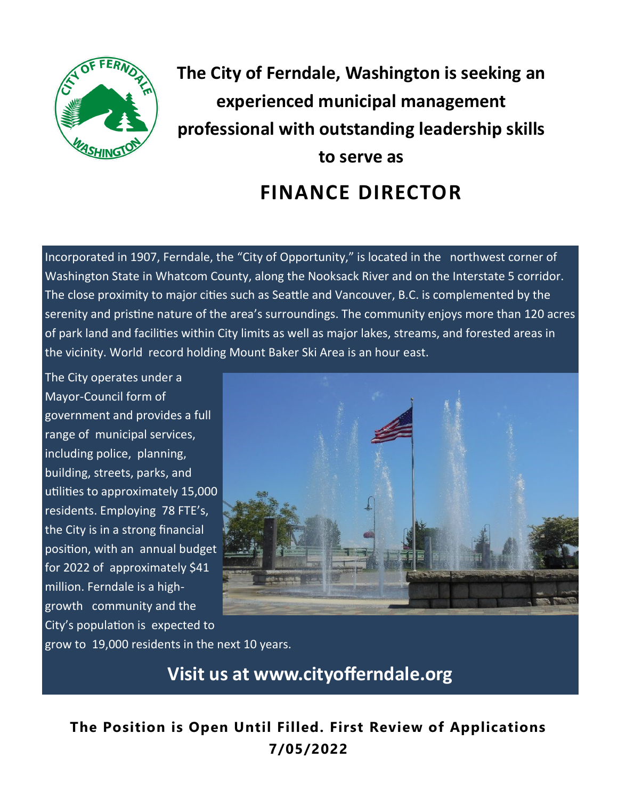

**The City of Ferndale, Washington is seeking an experienced municipal management professional with outstanding leadership skills to serve as FINANCE DIRECTOR**

Incorporated in 1907, Ferndale, the "City of Opportunity," is located in the northwest corner of Washington State in Whatcom County, along the Nooksack River and on the Interstate 5 corridor. The close proximity to major cities such as Seattle and Vancouver, B.C. is complemented by the serenity and pristine nature of the area's surroundings. The community enjoys more than 120 acres of park land and facilities within City limits as well as major lakes, streams, and forested areas in the vicinity. World record holding Mount Baker Ski Area is an hour east.

The City operates under a Mayor-Council form of government and provides a full range of municipal services, including police, planning, building, streets, parks, and utilities to approximately 15,000 residents. Employing 78 FTE's, the City is in a strong financial position, with an annual budget for 2022 of approximately \$41 million. Ferndale is a highgrowth community and the City's population is expected to



grow to 19,000 residents in the next 10 years.

**Visit us at www.cityofferndale.org**

**The Position is Open Until Filled. First Review of Applications 7/05/2022**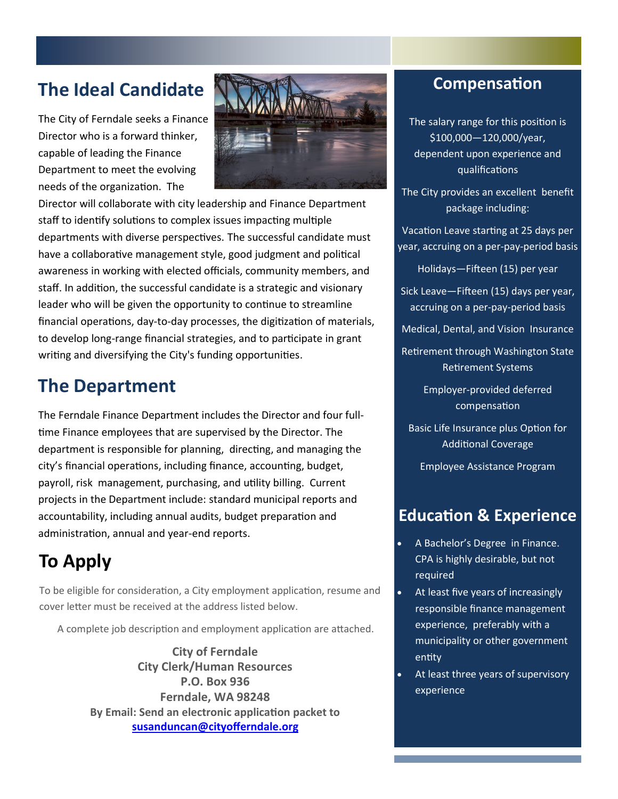# **The Ideal Candidate**

The City of Ferndale seeks a Finance Director who is a forward thinker, capable of leading the Finance Department to meet the evolving needs of the organization. The



Director will collaborate with city leadership and Finance Department staff to identify solutions to complex issues impacting multiple departments with diverse perspectives. The successful candidate must have a collaborative management style, good judgment and political awareness in working with elected officials, community members, and staff. In addition, the successful candidate is a strategic and visionary leader who will be given the opportunity to continue to streamline financial operations, day-to-day processes, the digitization of materials, to develop long-range financial strategies, and to participate in grant writing and diversifying the City's funding opportunities.

## **The Department**

The Ferndale Finance Department includes the Director and four fulltime Finance employees that are supervised by the Director. The department is responsible for planning, directing, and managing the city's financial operations, including finance, accounting, budget, payroll, risk management, purchasing, and utility billing. Current projects in the Department include: standard municipal reports and accountability, including annual audits, budget preparation and administration, annual and year-end reports.

# **To Apply**

To be eligible for consideration, a City employment application, resume and cover letter must be received at the address listed below.

A complete job description and employment application are attached.

**City of Ferndale City Clerk/Human Resources P.O. Box 936 Ferndale, WA 98248 By Email: Send an electronic application packet to [susanduncan@cityofferndale.org](mailto:susanduncan@cityofferndale.org)**

## **Compensation**

The salary range for this position is \$100,000—120,000/year, dependent upon experience and qualifications

The City provides an excellent benefit package including:

Vacation Leave starting at 25 days per year, accruing on a per-pay-period basis

Holidays—Fifteen (15) per year

Sick Leave—Fifteen (15) days per year, accruing on a per-pay-period basis

Medical, Dental, and Vision Insurance

Retirement through Washington State Retirement Systems

> Employer-provided deferred compensation

Basic Life Insurance plus Option for Additional Coverage

Employee Assistance Program

## **Education & Experience**

- A Bachelor's Degree in Finance. CPA is highly desirable, but not required
- At least five years of increasingly responsible finance management experience, preferably with a municipality or other government entity
- At least three years of supervisory experience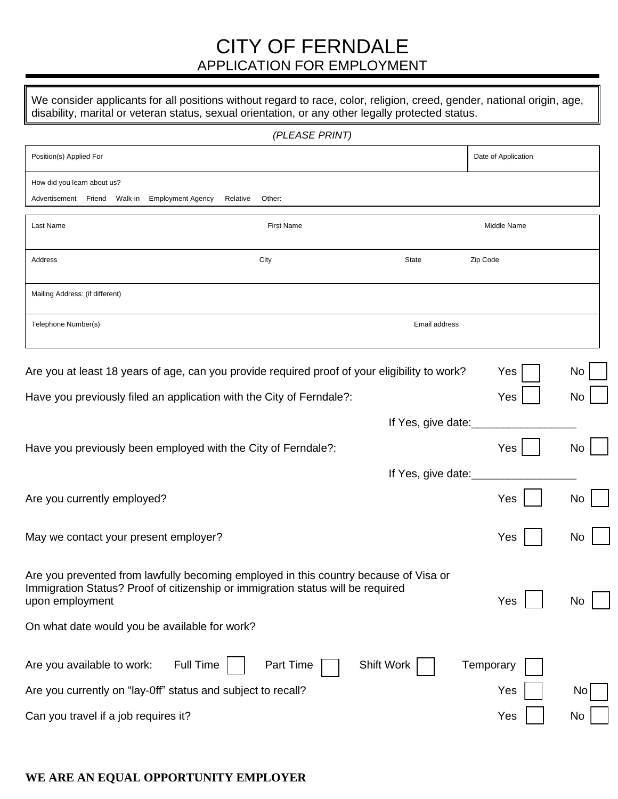## CITY OF FERNDALE APPLICATION FOR EMPLOYMENT

We consider applicants for all positions without regard to race, color, religion, creed, gender, national origin, age, disability, marital or veteran status, sexual orientation, or any other legally protected status.

|                                                                                                                                                                                            | (PLEASE PRINT)     |                    |                     |    |
|--------------------------------------------------------------------------------------------------------------------------------------------------------------------------------------------|--------------------|--------------------|---------------------|----|
| Position(s) Applied For                                                                                                                                                                    |                    |                    | Date of Application |    |
| How did you learn about us?<br>Advertisement Friend Walk-in Employment Agency                                                                                                              | Relative<br>Other: |                    |                     |    |
| Last Name                                                                                                                                                                                  | <b>First Name</b>  |                    | Middle Name         |    |
| Address                                                                                                                                                                                    | City               | State              | Zip Code            |    |
| Mailing Address: (if different)                                                                                                                                                            |                    |                    |                     |    |
| Telephone Number(s)                                                                                                                                                                        |                    | Email address      |                     |    |
| Are you at least 18 years of age, can you provide required proof of your eligibility to work?                                                                                              |                    |                    | Yes                 | No |
| Have you previously filed an application with the City of Ferndale?:                                                                                                                       |                    |                    | Yes                 | No |
|                                                                                                                                                                                            |                    | If Yes, give date: |                     |    |
| Have you previously been employed with the City of Ferndale?:                                                                                                                              |                    |                    | Yes                 | No |
|                                                                                                                                                                                            |                    | If Yes, give date: |                     |    |
| Are you currently employed?                                                                                                                                                                |                    |                    | Yes                 | No |
| May we contact your present employer?                                                                                                                                                      |                    |                    | Yes                 | No |
| Are you prevented from lawfully becoming employed in this country because of Visa or<br>Immigration Status? Proof of citizenship or immigration status will be required<br>upon employment |                    |                    | Yes                 | Νo |
| On what date would you be available for work?                                                                                                                                              |                    |                    |                     |    |
| <b>Full Time</b><br>Are you available to work:                                                                                                                                             | Part Time          | Shift Work         | Temporary           |    |
| Are you currently on "lay-0ff" status and subject to recall?                                                                                                                               |                    |                    | Yes                 | No |
| Can you travel if a job requires it?                                                                                                                                                       |                    |                    | Yes                 | No |

### **WE ARE AN EQUAL OPPORTUNITY EMPLOYER**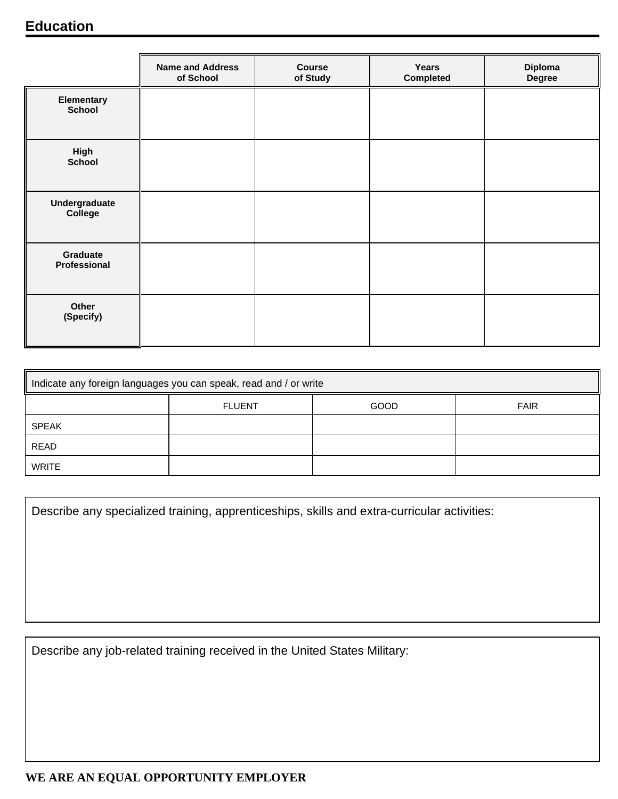## **Education**

|                             | <b>Name and Address</b><br>of School | <b>Course</b><br>of Study | Years<br>Completed | Diploma<br><b>Degree</b> |
|-----------------------------|--------------------------------------|---------------------------|--------------------|--------------------------|
| Elementary<br><b>School</b> |                                      |                           |                    |                          |
| High<br><b>School</b>       |                                      |                           |                    |                          |
| Undergraduate<br>College    |                                      |                           |                    |                          |
| Graduate<br>Professional    |                                      |                           |                    |                          |
| Other<br>(Specify)          |                                      |                           |                    |                          |

| Indicate any foreign languages you can speak, read and / or write |               |             |             |  |
|-------------------------------------------------------------------|---------------|-------------|-------------|--|
|                                                                   | <b>FLUENT</b> | <b>GOOD</b> | <b>FAIR</b> |  |
| <b>SPEAK</b>                                                      |               |             |             |  |
| READ                                                              |               |             |             |  |
| WRITE                                                             |               |             |             |  |

|  |  | Describe any specialized training, apprenticeships, skills and extra-curricular activities: |
|--|--|---------------------------------------------------------------------------------------------|
|  |  |                                                                                             |

Describe any job-related training received in the United States Military: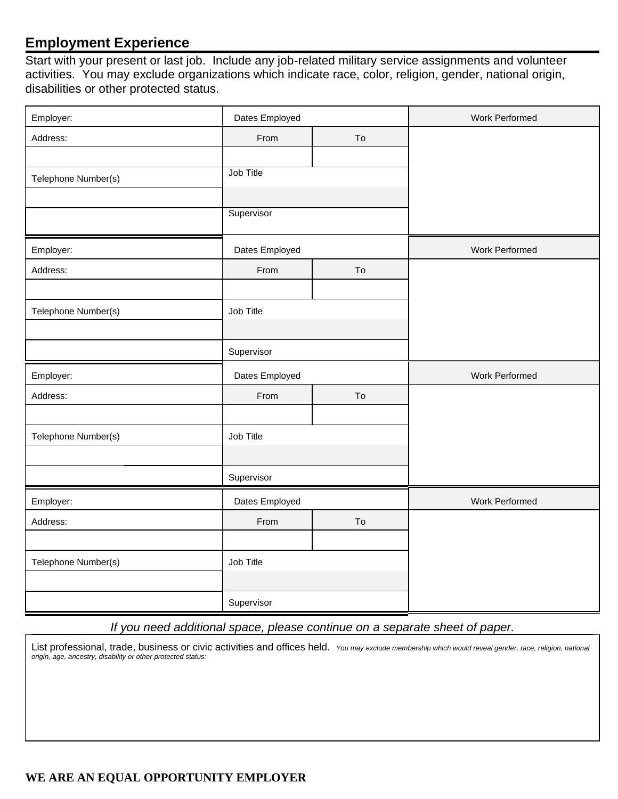## **Employment Experience**

Start with your present or last job. Include any job-related military service assignments and volunteer activities. You may exclude organizations which indicate race, color, religion, gender, national origin, disabilities or other protected status.

| Employer:           | Dates Employed |    | Work Performed |
|---------------------|----------------|----|----------------|
| Address:            | From           | To |                |
|                     |                |    |                |
| Telephone Number(s) | Job Title      |    |                |
|                     |                |    |                |
|                     | Supervisor     |    |                |
| Employer:           | Dates Employed |    | Work Performed |
| Address:            | From           | To |                |
|                     |                |    |                |
| Telephone Number(s) | Job Title      |    |                |
|                     |                |    |                |
|                     | Supervisor     |    |                |
| Employer:           | Dates Employed |    | Work Performed |
| Address:            | From           | To |                |
|                     |                |    |                |
| Telephone Number(s) | Job Title      |    |                |
|                     |                |    |                |
|                     | Supervisor     |    |                |
| Employer:           | Dates Employed |    | Work Performed |
| Address:            | From           | To |                |
|                     |                |    |                |
| Telephone Number(s) | Job Title      |    |                |
|                     |                |    |                |
|                     | Supervisor     |    |                |

### *If you need additional space, please continue on a separate sheet of paper.*

List professional, trade, business or civic activities and offices held. *You may exclude membership which would reveal gender, race, religion, national origin, age, ancestry, disability or other protected status:*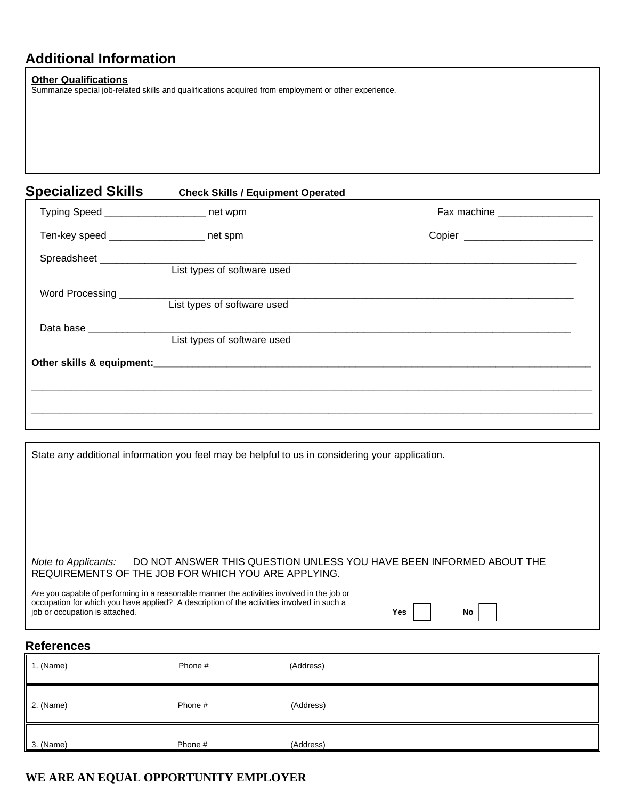## **Additional Information**

#### **Other Qualifications**

Summarize special job-related skills and qualifications acquired from employment or other experience.

| <b>Specialized Skills</b>                 | <b>Check Skills / Equipment Operated</b> |                                   |  |
|-------------------------------------------|------------------------------------------|-----------------------------------|--|
| Typing Speed __________________ net wpm   |                                          | Fax machine _____________________ |  |
| Ten-key speed ___________________ net spm |                                          |                                   |  |
|                                           | List types of software used              |                                   |  |
| Word Processing ___________               | List types of software used              |                                   |  |
| Data base ________________                |                                          |                                   |  |
|                                           | List types of software used              |                                   |  |
|                                           |                                          |                                   |  |
|                                           |                                          |                                   |  |
|                                           |                                          |                                   |  |

| State any additional information you feel may be helpful to us in considering your application.                                                                                                                           |            |  |  |  |
|---------------------------------------------------------------------------------------------------------------------------------------------------------------------------------------------------------------------------|------------|--|--|--|
|                                                                                                                                                                                                                           |            |  |  |  |
|                                                                                                                                                                                                                           |            |  |  |  |
|                                                                                                                                                                                                                           |            |  |  |  |
|                                                                                                                                                                                                                           |            |  |  |  |
|                                                                                                                                                                                                                           |            |  |  |  |
|                                                                                                                                                                                                                           |            |  |  |  |
| DO NOT ANSWER THIS QUESTION UNLESS YOU HAVE BEEN INFORMED ABOUT THE<br>Note to Applicants:<br>REQUIREMENTS OF THE JOB FOR WHICH YOU ARE APPLYING.                                                                         |            |  |  |  |
| Are you capable of performing in a reasonable manner the activities involved in the job or<br>occupation for which you have applied? A description of the activities involved in such a<br>job or occupation is attached. | No.<br>Yes |  |  |  |

## **References**

| 1. (Name) | Phone # | (Address) |
|-----------|---------|-----------|
| 2. (Name) | Phone # | (Address) |
| 3. (Name) | Phone # | (Address) |

## **WE ARE AN EQUAL OPPORTUNITY EMPLOYER**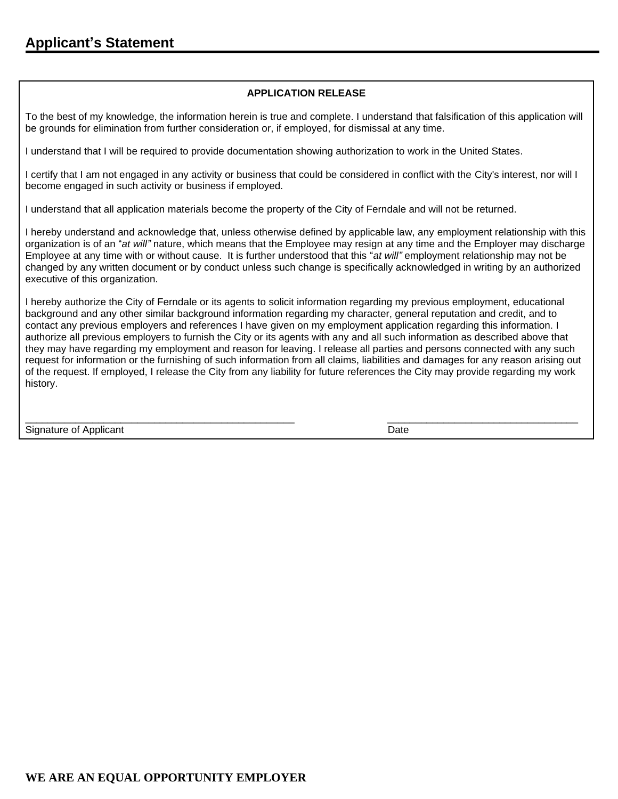#### **APPLICATION RELEASE**

To the best of my knowledge, the information herein is true and complete. I understand that falsification of this application will be grounds for elimination from further consideration or, if employed, for dismissal at any time.

I understand that I will be required to provide documentation showing authorization to work in the United States.

I certify that I am not engaged in any activity or business that could be considered in conflict with the City's interest, nor will I become engaged in such activity or business if employed.

I understand that all application materials become the property of the City of Ferndale and will not be returned.

I hereby understand and acknowledge that, unless otherwise defined by applicable law, any employment relationship with this organization is of an "*at will"* nature, which means that the Employee may resign at any time and the Employer may discharge Employee at any time with or without cause. It is further understood that this "*at will"* employment relationship may not be changed by any written document or by conduct unless such change is specifically acknowledged in writing by an authorized executive of this organization.

I hereby authorize the City of Ferndale or its agents to solicit information regarding my previous employment, educational background and any other similar background information regarding my character, general reputation and credit, and to contact any previous employers and references I have given on my employment application regarding this information. I authorize all previous employers to furnish the City or its agents with any and all such information as described above that they may have regarding my employment and reason for leaving. I release all parties and persons connected with any such request for information or the furnishing of such information from all claims, liabilities and damages for any reason arising out of the request. If employed, I release the City from any liability for future references the City may provide regarding my work history.

\_\_\_\_\_\_\_\_\_\_\_\_\_\_\_\_\_\_\_\_\_\_\_\_\_\_\_\_\_\_\_\_\_\_\_\_\_\_\_\_\_\_\_\_\_\_\_\_ \_\_\_\_\_\_\_\_\_\_\_\_\_\_\_\_\_\_\_\_\_\_\_\_\_\_\_\_\_\_\_\_\_\_

Signature of Applicant Date of Applicant Date of Applicant Date of Applicant Date of Applicant Date of Applicant Date of Applicant Date of Applicant Date of Applicant Date of Applicant Date of Applicant Date of Applicant D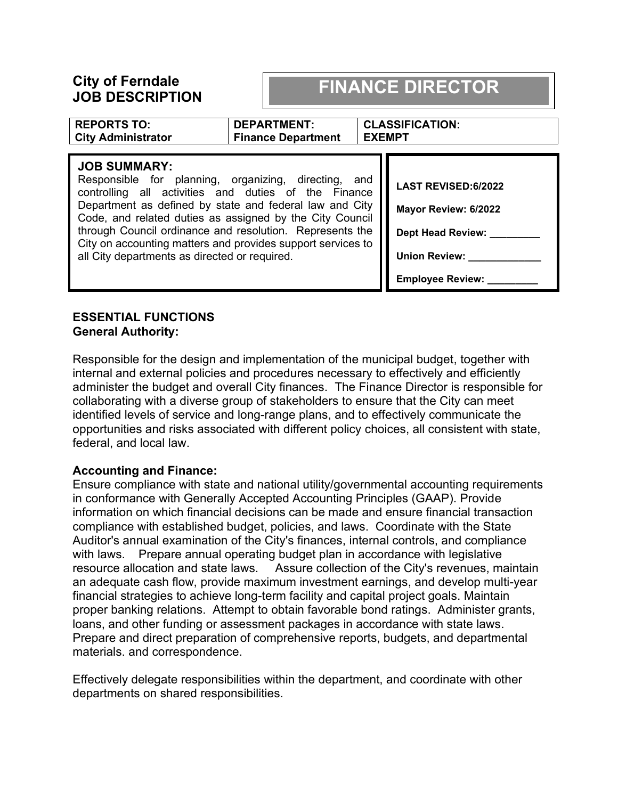## **City of Ferndale JOB DESCRIPTION**

## **FINANCE DIRECTOR**

| <b>REPORTS TO:</b><br><b>City Administrator</b>                                                                                                                                                                                                                                                                                                                                                                                        | <b>DEPARTMENT:</b><br><b>Finance Department</b> | <b>EXEMPT</b> | <b>CLASSIFICATION:</b>                                                                                                            |
|----------------------------------------------------------------------------------------------------------------------------------------------------------------------------------------------------------------------------------------------------------------------------------------------------------------------------------------------------------------------------------------------------------------------------------------|-------------------------------------------------|---------------|-----------------------------------------------------------------------------------------------------------------------------------|
| <b>JOB SUMMARY:</b><br>Responsible for planning, organizing, directing, and<br>controlling all activities and duties of the Finance<br>Department as defined by state and federal law and City<br>Code, and related duties as assigned by the City Council<br>through Council ordinance and resolution. Represents the<br>City on accounting matters and provides support services to<br>all City departments as directed or required. |                                                 |               | <b>LAST REVISED:6/2022</b><br>Mayor Review: 6/2022<br><b>Dept Head Review:</b><br><b>Union Review:</b><br><b>Employee Review:</b> |

#### **ESSENTIAL FUNCTIONS General Authority:**

Responsible for the design and implementation of the municipal budget, together with internal and external policies and procedures necessary to effectively and efficiently administer the budget and overall City finances. The Finance Director is responsible for collaborating with a diverse group of stakeholders to ensure that the City can meet identified levels of service and long-range plans, and to effectively communicate the opportunities and risks associated with different policy choices, all consistent with state, federal, and local law.

### **Accounting and Finance:**

Ensure compliance with state and national utility/governmental accounting requirements in conformance with Generally Accepted Accounting Principles (GAAP). Provide information on which financial decisions can be made and ensure financial transaction compliance with established budget, policies, and laws. Coordinate with the State Auditor's annual examination of the City's finances, internal controls, and compliance with laws. Prepare annual operating budget plan in accordance with legislative resource allocation and state laws. Assure collection of the City's revenues, maintain an adequate cash flow, provide maximum investment earnings, and develop multi-year financial strategies to achieve long-term facility and capital project goals. Maintain proper banking relations. Attempt to obtain favorable bond ratings. Administer grants, loans, and other funding or assessment packages in accordance with state laws. Prepare and direct preparation of comprehensive reports, budgets, and departmental materials. and correspondence.

Effectively delegate responsibilities within the department, and coordinate with other departments on shared responsibilities.